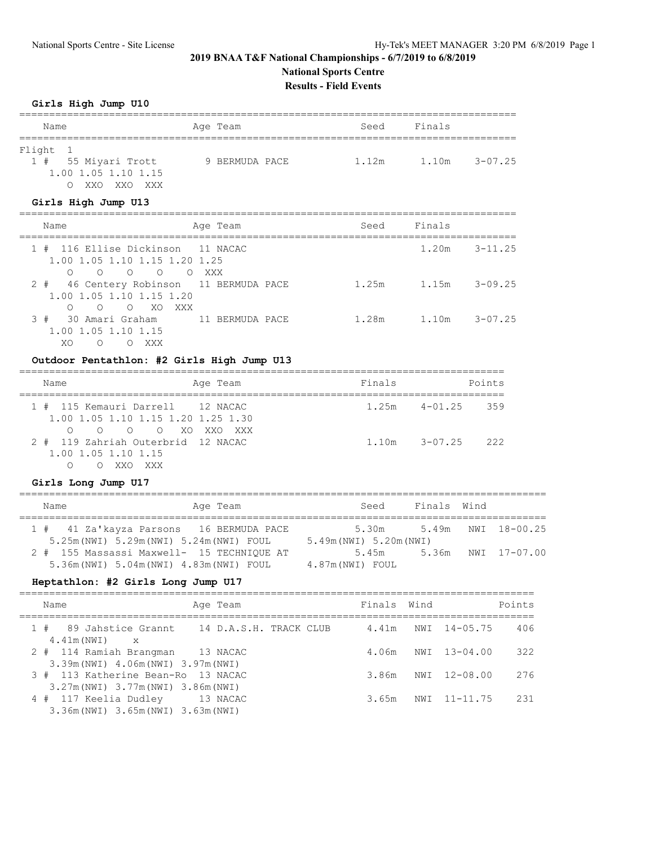## **2019 BNAA T&F National Championships - 6/7/2019 to 6/8/2019 National Sports Centre Results - Field Events**

#### **Girls High Jump U10**

| Name                            | Age Team       | Seed  | Finals               |  |  |  |  |
|---------------------------------|----------------|-------|----------------------|--|--|--|--|
|                                 |                |       |                      |  |  |  |  |
| Flight 1                        |                |       |                      |  |  |  |  |
| 1 # 55 Miyari Trott             | 9 BERMUDA PACE | 1.12m | $3 - 07.25$<br>1.10m |  |  |  |  |
| 1.00 1.05 1.10 1.15             |                |       |                      |  |  |  |  |
| XXO XXO XXX<br>$\left( \right)$ |                |       |                      |  |  |  |  |

## **Girls High Jump U13**

| Name                                                                                                                       | Age Team        | Seed  | Finals |                   |
|----------------------------------------------------------------------------------------------------------------------------|-----------------|-------|--------|-------------------|
| 1 # 116 Ellise Dickinson 11 NACAC<br>1.00 1.05 1.10 1.15 1.20 1.25<br>$\overline{O}$<br>O OXXX<br>$\bigcirc$<br>$\bigcirc$ |                 |       |        | $1.20m$ $3-11.25$ |
| 2 # 46 Centery Robinson 11 BERMUDA PACE<br>1.00 1.05 1.10 1.15 1.20<br>OOXOXXX<br>$\bigcirc$                               |                 | 1.25m | 1.15m  | $3 - 09.25$       |
| 3 # 30 Amari Graham<br>1,00 1,05 1,10 1,15<br>XO<br>XXX<br>$\Omega$                                                        | 11 RERMUDA PACE | 1.28m |        | $1.10m$ $3-07.25$ |

# **Outdoor Pentathlon: #2 Girls High Jump U13**

| Name                                                                                       | Age Team | Finals |                   | Points |
|--------------------------------------------------------------------------------------------|----------|--------|-------------------|--------|
| 1 # 115 Kemauri Darrell 12 NACAC<br>1.00 1.05 1.10 1.15 1.20 1.25 1.30<br>0 0 0 0 XOXXOXXX |          |        | $1.25m$ $4-01.25$ | 359    |
| 2 # 119 Zahriah Outerbrid 12 NACAC<br>1,00 1,05 1,10 1,15<br>XXX<br>XXO.                   |          | 1.10m  | $3 - 07.25$       | - 222  |

#### **Girls Long Jump U17**

| Name                                                                                  | Age Team | Seed                             | Finals Wind |                    |
|---------------------------------------------------------------------------------------|----------|----------------------------------|-------------|--------------------|
| 1 # 41 Za'kayza Parsons 16 BERMUDA PACE<br>5.25m (NWI) 5.29m (NWI) 5.24m (NWI) FOUL   |          | 5.30m<br>5.49m (NWI) 5.20m (NWI) |             | 5.49m NWI 18-00.25 |
| 2 # 155 Massassi Maxwell- 15 TECHNIOUE AT<br>5.36m (NWI) 5.04m (NWI) 4.83m (NWI) FOUL |          | 5.45m<br>4.87m(NWI) FOUL         |             | 5.36m NWI 17-07.00 |

#### **Heptathlon: #2 Girls Long Jump U17**

| Name                                                                           | Age Team | Finals Wind |                    | Points |
|--------------------------------------------------------------------------------|----------|-------------|--------------------|--------|
| 1 # 89 Jahstice Grannt 14 D.A.S.H. TRACK CLUB<br>$4.41m(NWI) \times$           |          | 4.41m       | NWI 14-05.75       | 406    |
| 2 # 114 Ramiah Brangman 13 NACAC<br>3.39m (NWI) 4.06m (NWI) 3.97m (NWI)        |          |             | 4.06m NWI 13-04.00 | 322    |
| 3 # 113 Katherine Bean-Ro 13 NACAC<br>3.27m (NWI) 3.77m (NWI) 3.86m (NWI)      |          | 3.86m       | NWI 12-08.00       | 276    |
| 4 # 117 Keelia Dudley 13 NACAC<br>$3.36$ m (NWI) $3.65$ m (NWI) $3.63$ m (NWI) |          | 3.65m       | NWI 11-11.75       | 231    |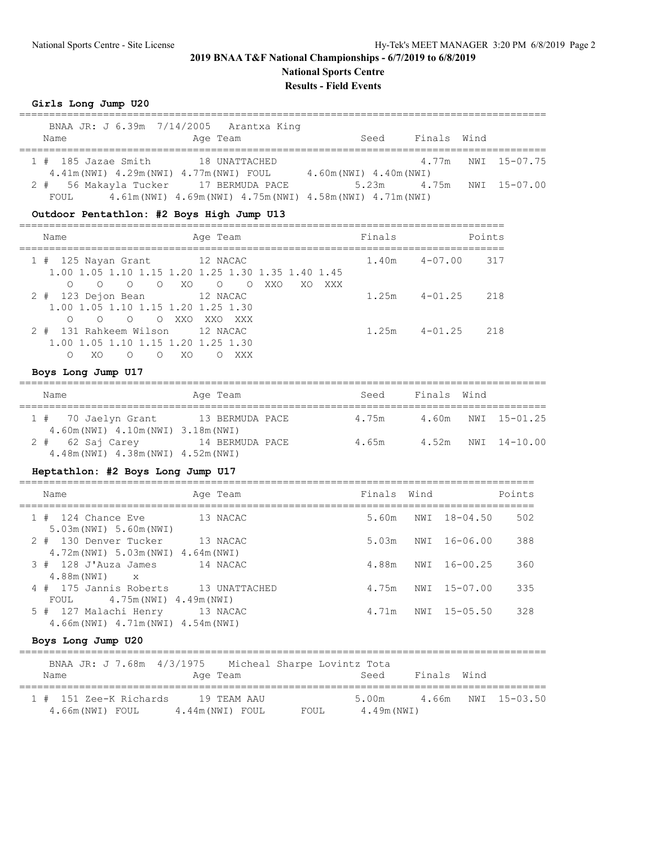## **2019 BNAA T&F National Championships - 6/7/2019 to 6/8/2019 National Sports Centre**

**Results - Field Events**

#### **Girls Long Jump U20**

|                                       |  | BNAA JR: J 6.39m 7/14/2005 Arantxa King                          |                         |      |                          |                    |
|---------------------------------------|--|------------------------------------------------------------------|-------------------------|------|--------------------------|--------------------|
| Name                                  |  | Age Team                                                         |                         | Seed | Finals Wind              |                    |
| 1 # 185 Jazae Smith 18 UNATTACHED     |  |                                                                  |                         |      |                          | 4.77m NWI 15-07.75 |
|                                       |  | 4.41m (NWI) 4.29m (NWI) 4.77m (NWI) FOUL                         | 4.60m (NWI) 4.40m (NWI) |      |                          |                    |
| 2 # 56 Makayla Tucker 17 BERMUDA PACE |  |                                                                  |                         |      | 5.23m 4.75m NWI 15-07.00 |                    |
| FOUL                                  |  | $4.61m(NWI)$ $4.69m(NWI)$ $4.75m(NWI)$ $4.58m(NWI)$ $4.71m(NWI)$ |                         |      |                          |                    |

#### **Outdoor Pentathlon: #2 Boys High Jump U13**

| Name                                                                                                | Age Team                                                                            | Finals                 | Points |
|-----------------------------------------------------------------------------------------------------|-------------------------------------------------------------------------------------|------------------------|--------|
| 1 # 125 Nayan Grant 12 NACAC<br>$\circ$<br>O XO<br>$\overline{O}$                                   | 1,00 1,05 1,10 1,15 1,20 1,25 1,30 1,35 1,40 1,45<br>$\circ$ 0<br>XXO<br>XXX<br>XO. | 1.40m<br>4-07.00       | 317    |
| 2 # 123 Dejon Bean 12 NACAC<br>1,00 1,05 1,10 1,15 1,20 1,25 1,30<br>$\bigcirc$<br>$\circ$<br>O XXO | XXO XXX                                                                             | 1.25m<br>$4 - 01$ , 25 | 218    |
| 2 # 131 Rahkeem Wilson<br>1,00 1,05 1,10 1,15 1,20 1,25 1,30<br>XO<br>$\left( \right)$              | 12 NACAC<br>XO<br>XXX                                                               | 1.25m<br>$4 - 01$ , 25 | 218    |

#### **Boys Long Jump U17**

| Name                                | Age Team        | Seed  | Finals Wind |                    |
|-------------------------------------|-----------------|-------|-------------|--------------------|
| 1 # 70 Jaelyn Grant 13 BERMUDA PACE |                 | 4.75m |             | 4.60m NWI 15-01.25 |
| 4.60m (NWI) 4.10m (NWI) 3.18m (NWI) |                 |       |             |                    |
| $2 * 62$ Saj Carey                  | 14 BERMUDA PACE | 4.65m |             | 4.52m NWI 14-10.00 |
| 4.48m (NWI) 4.38m (NWI) 4.52m (NWI) |                 |       |             |                    |

#### **Heptathlon: #2 Boys Long Jump U17**

| Name                                                                  |          | Age Team      | Finals Wind |              | Points |
|-----------------------------------------------------------------------|----------|---------------|-------------|--------------|--------|
| 1 # 124 Chance Eve<br>5.03m (NWI) 5.60m (NWI)                         |          | 13 NACAC      | 5.60m       | NWI 18-04.50 | 502    |
| 2 # 130 Denver Tucker                                                 |          | 13 NACAC      | 5.03m       | NWI 16-06.00 | 388    |
| 4.72m (NWI) 5.03m (NWI) 4.64m (NWI)<br>3 # 128 J'Auza James           |          | 14 NACAC      | 4.88m       | NWI 16-00.25 | 360    |
| $4.88m(NWI)$ $\times$<br>4 # 175 Jannis Roberts                       |          | 13 UNATTACHED | 4.75m       | NWI 15-07.00 | 335    |
| 4.75m(NWI) 4.49m(NWI)<br>FOUL                                         |          |               |             |              |        |
| 5 # 127 Malachi Henry<br>$4.66$ m (NWI) $4.71$ m (NWI) $4.54$ m (NWI) | 13 NACAC |               | 4.71m       | NWI 15-05.50 | 328    |

#### **Boys Long Jump U20**

| BNAA JR: J 7.68m 4/3/1975 Micheal Sharpe Lovintz Tota |                 |       |             |                    |
|-------------------------------------------------------|-----------------|-------|-------------|--------------------|
| Name                                                  | Age Team        | Seed  | Finals Wind |                    |
| 1 # 151 Zee-K Richards                                | 19 TEAM AAU     | 5.00m |             | 4.66m NWI 15-03.50 |
| 4.66m(NWI) FOUL                                       | 4.44m(NWI) FOUL | FOUL  | 4.49m(NWI)  |                    |